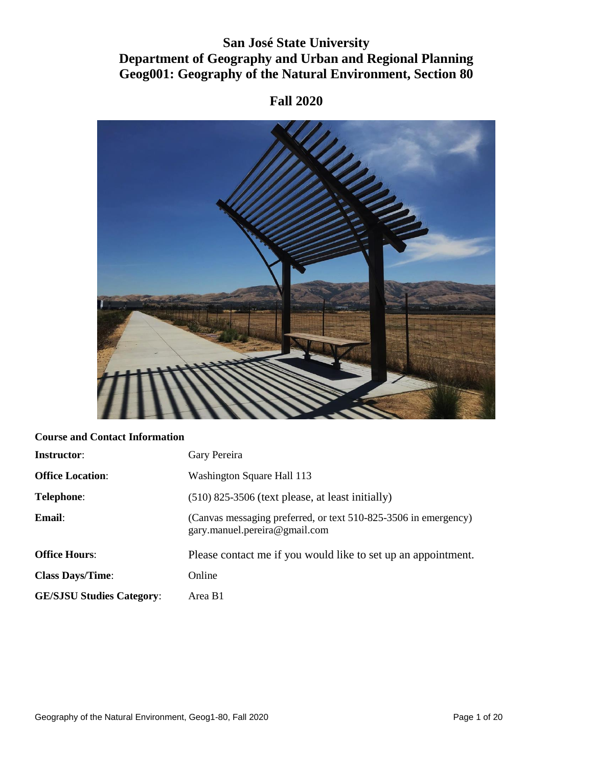# **San José State University Department of Geography and Urban and Regional Planning Geog001: Geography of the Natural Environment, Section 80**

# **RANGE OF BRIDE**

# **Fall 2020**

### **Course and Contact Information**

| <b>Instructor:</b>               | Gary Pereira                                                                                     |
|----------------------------------|--------------------------------------------------------------------------------------------------|
| <b>Office Location:</b>          | Washington Square Hall 113                                                                       |
| <b>Telephone:</b>                | $(510)$ 825-3506 (text please, at least initially)                                               |
| Email:                           | (Canvas messaging preferred, or text 510-825-3506 in emergency)<br>gary.manuel.pereira@gmail.com |
| <b>Office Hours:</b>             | Please contact me if you would like to set up an appointment.                                    |
| <b>Class Days/Time:</b>          | Online                                                                                           |
| <b>GE/SJSU Studies Category:</b> | Area B1                                                                                          |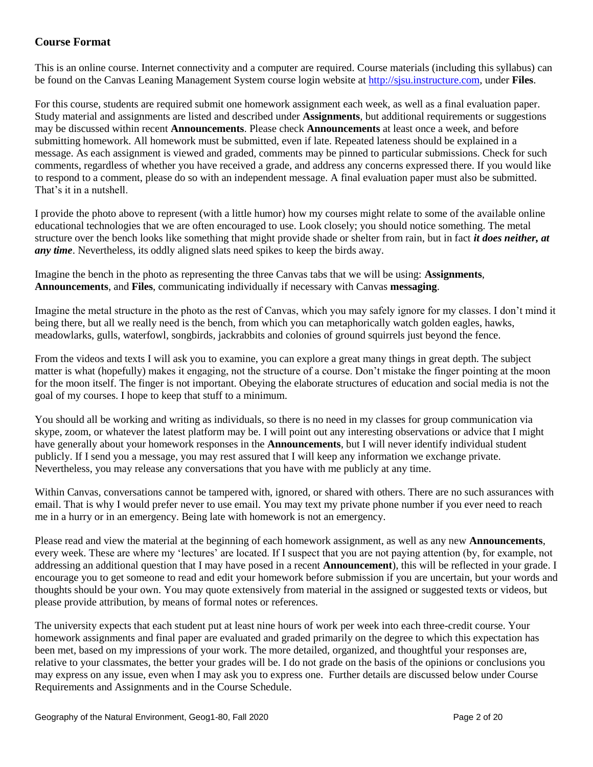## **Course Format**

This is an online course. Internet connectivity and a computer are required. Course materials (including this syllabus) can be found on the Canvas Leaning Management System course login website a[t http://sjsu.instructure.com,](http://sjsu.instructure.com/) under **Files**.

For this course, students are required submit one homework assignment each week, as well as a final evaluation paper. Study material and assignments are listed and described under **Assignments**, but additional requirements or suggestions may be discussed within recent **Announcements**. Please check **Announcements** at least once a week, and before submitting homework. All homework must be submitted, even if late. Repeated lateness should be explained in a message. As each assignment is viewed and graded, comments may be pinned to particular submissions. Check for such comments, regardless of whether you have received a grade, and address any concerns expressed there. If you would like to respond to a comment, please do so with an independent message. A final evaluation paper must also be submitted. That's it in a nutshell.

I provide the photo above to represent (with a little humor) how my courses might relate to some of the available online educational technologies that we are often encouraged to use. Look closely; you should notice something. The metal structure over the bench looks like something that might provide shade or shelter from rain, but in fact *it does neither, at any time*. Nevertheless, its oddly aligned slats need spikes to keep the birds away.

Imagine the bench in the photo as representing the three Canvas tabs that we will be using: **Assignments**, **Announcements**, and **Files**, communicating individually if necessary with Canvas **messaging**.

Imagine the metal structure in the photo as the rest of Canvas, which you may safely ignore for my classes. I don't mind it being there, but all we really need is the bench, from which you can metaphorically watch golden eagles, hawks, meadowlarks, gulls, waterfowl, songbirds, jackrabbits and colonies of ground squirrels just beyond the fence.

From the videos and texts I will ask you to examine, you can explore a great many things in great depth. The subject matter is what (hopefully) makes it engaging, not the structure of a course. Don't mistake the finger pointing at the moon for the moon itself. The finger is not important. Obeying the elaborate structures of education and social media is not the goal of my courses. I hope to keep that stuff to a minimum.

You should all be working and writing as individuals, so there is no need in my classes for group communication via skype, zoom, or whatever the latest platform may be. I will point out any interesting observations or advice that I might have generally about your homework responses in the **Announcements**, but I will never identify individual student publicly. If I send you a message, you may rest assured that I will keep any information we exchange private. Nevertheless, you may release any conversations that you have with me publicly at any time.

Within Canvas, conversations cannot be tampered with, ignored, or shared with others. There are no such assurances with email. That is why I would prefer never to use email. You may text my private phone number if you ever need to reach me in a hurry or in an emergency. Being late with homework is not an emergency.

Please read and view the material at the beginning of each homework assignment, as well as any new **Announcements**, every week. These are where my 'lectures' are located. If I suspect that you are not paying attention (by, for example, not addressing an additional question that I may have posed in a recent **Announcement**), this will be reflected in your grade. I encourage you to get someone to read and edit your homework before submission if you are uncertain, but your words and thoughts should be your own. You may quote extensively from material in the assigned or suggested texts or videos, but please provide attribution, by means of formal notes or references.

The university expects that each student put at least nine hours of work per week into each three-credit course. Your homework assignments and final paper are evaluated and graded primarily on the degree to which this expectation has been met, based on my impressions of your work. The more detailed, organized, and thoughtful your responses are, relative to your classmates, the better your grades will be. I do not grade on the basis of the opinions or conclusions you may express on any issue, even when I may ask you to express one. Further details are discussed below under Course Requirements and Assignments and in the Course Schedule.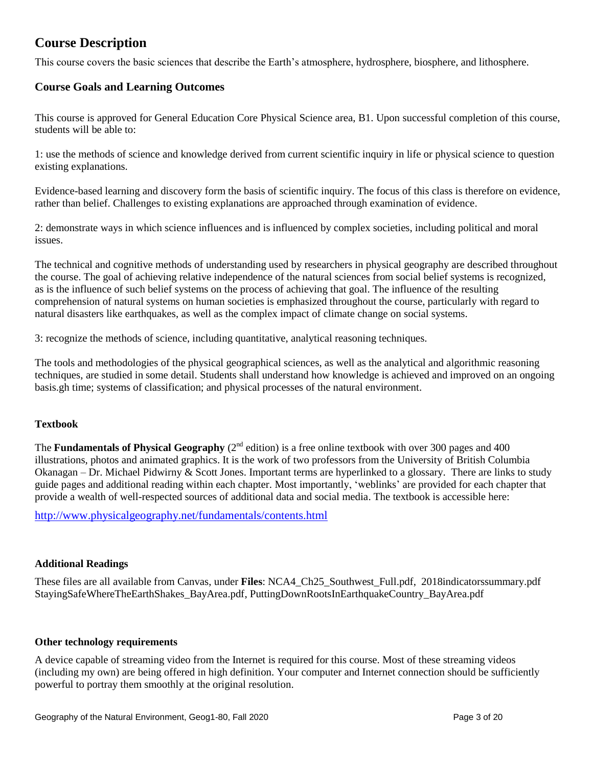# **Course Description**

This course covers the basic sciences that describe the Earth's atmosphere, hydrosphere, biosphere, and lithosphere.

### **Course Goals and Learning Outcomes**

This course is approved for General Education Core Physical Science area, B1. Upon successful completion of this course, students will be able to:

1: use the methods of science and knowledge derived from current scientific inquiry in life or physical science to question existing explanations.

Evidence-based learning and discovery form the basis of scientific inquiry. The focus of this class is therefore on evidence, rather than belief. Challenges to existing explanations are approached through examination of evidence.

2: demonstrate ways in which science influences and is influenced by complex societies, including political and moral issues.

The technical and cognitive methods of understanding used by researchers in physical geography are described throughout the course. The goal of achieving relative independence of the natural sciences from social belief systems is recognized, as is the influence of such belief systems on the process of achieving that goal. The influence of the resulting comprehension of natural systems on human societies is emphasized throughout the course, particularly with regard to natural disasters like earthquakes, as well as the complex impact of climate change on social systems.

3: recognize the methods of science, including quantitative, analytical reasoning techniques.

The tools and methodologies of the physical geographical sciences, as well as the analytical and algorithmic reasoning techniques, are studied in some detail. Students shall understand how knowledge is achieved and improved on an ongoing basis.gh time; systems of classification; and physical processes of the natural environment.

### **Textbook**

The **Fundamentals of Physical Geography** ( $2<sup>nd</sup>$  edition) is a free online textbook with over 300 pages and 400 illustrations, photos and animated graphics. It is the work of two professors from the University of British Columbia Okanagan – Dr. Michael Pidwirny & Scott Jones. Important terms are hyperlinked to a glossary. There are links to study guide pages and additional reading within each chapter. Most importantly, 'weblinks' are provided for each chapter that provide a wealth of well-respected sources of additional data and social media. The textbook is accessible here:

<http://www.physicalgeography.net/fundamentals/contents.html>

### **Additional Readings**

These files are all available from Canvas, under **Files**: NCA4\_Ch25\_Southwest\_Full.pdf, 2018indicatorssummary.pdf StayingSafeWhereTheEarthShakes\_BayArea.pdf, PuttingDownRootsInEarthquakeCountry\_BayArea.pdf

### **Other technology requirements**

A device capable of streaming video from the Internet is required for this course. Most of these streaming videos (including my own) are being offered in high definition. Your computer and Internet connection should be sufficiently powerful to portray them smoothly at the original resolution.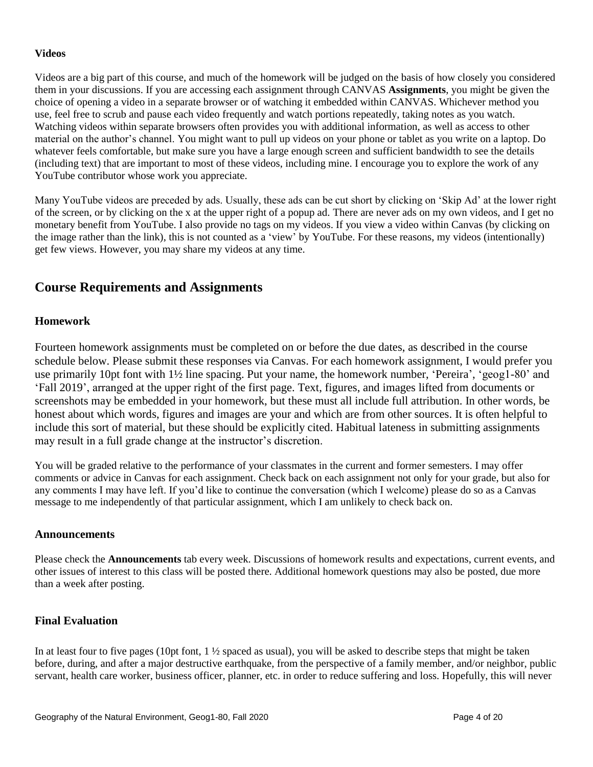### **Videos**

Videos are a big part of this course, and much of the homework will be judged on the basis of how closely you considered them in your discussions. If you are accessing each assignment through CANVAS **Assignments**, you might be given the choice of opening a video in a separate browser or of watching it embedded within CANVAS. Whichever method you use, feel free to scrub and pause each video frequently and watch portions repeatedly, taking notes as you watch. Watching videos within separate browsers often provides you with additional information, as well as access to other material on the author's channel. You might want to pull up videos on your phone or tablet as you write on a laptop. Do whatever feels comfortable, but make sure you have a large enough screen and sufficient bandwidth to see the details (including text) that are important to most of these videos, including mine. I encourage you to explore the work of any YouTube contributor whose work you appreciate.

Many YouTube videos are preceded by ads. Usually, these ads can be cut short by clicking on 'Skip Ad' at the lower right of the screen, or by clicking on the x at the upper right of a popup ad. There are never ads on my own videos, and I get no monetary benefit from YouTube. I also provide no tags on my videos. If you view a video within Canvas (by clicking on the image rather than the link), this is not counted as a 'view' by YouTube. For these reasons, my videos (intentionally) get few views. However, you may share my videos at any time.

# **Course Requirements and Assignments**

### **Homework**

Fourteen homework assignments must be completed on or before the due dates, as described in the course schedule below. Please submit these responses via Canvas. For each homework assignment, I would prefer you use primarily 10pt font with 1½ line spacing. Put your name, the homework number, 'Pereira', 'geog1-80' and 'Fall 2019', arranged at the upper right of the first page. Text, figures, and images lifted from documents or screenshots may be embedded in your homework, but these must all include full attribution. In other words, be honest about which words, figures and images are your and which are from other sources. It is often helpful to include this sort of material, but these should be explicitly cited. Habitual lateness in submitting assignments may result in a full grade change at the instructor's discretion.

You will be graded relative to the performance of your classmates in the current and former semesters. I may offer comments or advice in Canvas for each assignment. Check back on each assignment not only for your grade, but also for any comments I may have left. If you'd like to continue the conversation (which I welcome) please do so as a Canvas message to me independently of that particular assignment, which I am unlikely to check back on.

### **Announcements**

Please check the **Announcements** tab every week. Discussions of homework results and expectations, current events, and other issues of interest to this class will be posted there. Additional homework questions may also be posted, due more than a week after posting.

### **Final Evaluation**

In at least four to five pages (10pt font,  $1\frac{1}{2}$  spaced as usual), you will be asked to describe steps that might be taken before, during, and after a major destructive earthquake, from the perspective of a family member, and/or neighbor, public servant, health care worker, business officer, planner, etc. in order to reduce suffering and loss. Hopefully, this will never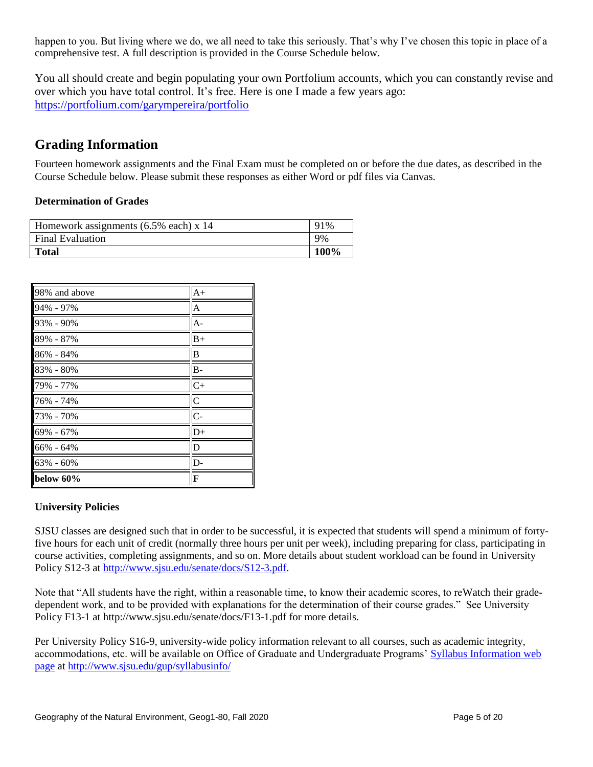happen to you. But living where we do, we all need to take this seriously. That's why I've chosen this topic in place of a comprehensive test. A full description is provided in the Course Schedule below.

You all should create and begin populating your own Portfolium accounts, which you can constantly revise and over which you have total control. It's free. Here is one I made a few years ago: <https://portfolium.com/garympereira/portfolio>

# **Grading Information**

Fourteen homework assignments and the Final Exam must be completed on or before the due dates, as described in the Course Schedule below. Please submit these responses as either Word or pdf files via Canvas.

### **Determination of Grades**

| Homework assignments $(6.5\%$ each) x 14 | 91%  |
|------------------------------------------|------|
| <b>Final Evaluation</b>                  | 9%   |
| <b>Total</b>                             | 100% |

| 98% and above | $A+$           |
|---------------|----------------|
| 94% - 97%     | $\overline{A}$ |
| 93% - 90%     | $A -$          |
| 89% - 87%     | $B+$           |
| 86% - 84%     | $\overline{B}$ |
| 83% - 80%     | $B -$          |
| 79% - 77%     | $C+$           |
| 76% - 74%     | $\overline{C}$ |
| 73% - 70%     | $\overline{C}$ |
| 69% - 67%     | $D+$           |
| 66% - 64%     | D              |
| 63% - 60%     | D-             |
| below 60%     | F              |

### **University Policies**

SJSU classes are designed such that in order to be successful, it is expected that students will spend a minimum of fortyfive hours for each unit of credit (normally three hours per unit per week), including preparing for class, participating in course activities, completing assignments, and so on. More details about student workload can be found in University Policy S12-3 at [http://www.sjsu.edu/senate/docs/S12-3.pdf.](http://www.sjsu.edu/senate/docs/S12-3.pdf)

Note that "All students have the right, within a reasonable time, to know their academic scores, to reWatch their gradedependent work, and to be provided with explanations for the determination of their course grades." See University Policy F13-1 at http://www.sjsu.edu/senate/docs/F13-1.pdf for more details.

Per University Policy S16-9, university-wide policy information relevant to all courses, such as academic integrity, accommodations, etc. will be available on Office of Graduate and Undergraduate Programs' [Syllabus Information web](http://www.sjsu.edu/gup/syllabusinfo/)  [page](http://www.sjsu.edu/gup/syllabusinfo/) at<http://www.sjsu.edu/gup/syllabusinfo/>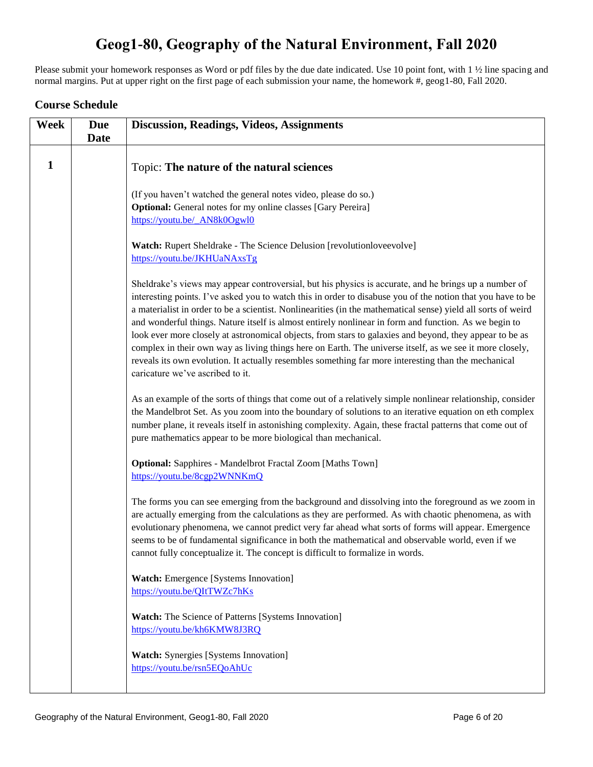# **Geog1-80, Geography of the Natural Environment, Fall 2020**

Please submit your homework responses as Word or pdf files by the due date indicated. Use 10 point font, with 1 ½ line spacing and normal margins. Put at upper right on the first page of each submission your name, the homework #, geog1-80, Fall 2020.

### **Course Schedule**

| Week | <b>Due</b><br><b>Date</b> | <b>Discussion, Readings, Videos, Assignments</b>                                                                                                                                                                                                                                                                                                                                                                                                                                                                                                                                                                                                                                                                                                                                                                 |
|------|---------------------------|------------------------------------------------------------------------------------------------------------------------------------------------------------------------------------------------------------------------------------------------------------------------------------------------------------------------------------------------------------------------------------------------------------------------------------------------------------------------------------------------------------------------------------------------------------------------------------------------------------------------------------------------------------------------------------------------------------------------------------------------------------------------------------------------------------------|
|      |                           |                                                                                                                                                                                                                                                                                                                                                                                                                                                                                                                                                                                                                                                                                                                                                                                                                  |
| 1    |                           | Topic: The nature of the natural sciences                                                                                                                                                                                                                                                                                                                                                                                                                                                                                                                                                                                                                                                                                                                                                                        |
|      |                           | (If you haven't watched the general notes video, please do so.)                                                                                                                                                                                                                                                                                                                                                                                                                                                                                                                                                                                                                                                                                                                                                  |
|      |                           | <b>Optional:</b> General notes for my online classes [Gary Pereira]                                                                                                                                                                                                                                                                                                                                                                                                                                                                                                                                                                                                                                                                                                                                              |
|      |                           | https://youtu.be/_AN8k0Ogwl0                                                                                                                                                                                                                                                                                                                                                                                                                                                                                                                                                                                                                                                                                                                                                                                     |
|      |                           | Watch: Rupert Sheldrake - The Science Delusion [revolutionloveevolve]<br>https://youtu.be/JKHUaNAxsTg                                                                                                                                                                                                                                                                                                                                                                                                                                                                                                                                                                                                                                                                                                            |
|      |                           | Sheldrake's views may appear controversial, but his physics is accurate, and he brings up a number of<br>interesting points. I've asked you to watch this in order to disabuse you of the notion that you have to be<br>a materialist in order to be a scientist. Nonlinearities (in the mathematical sense) yield all sorts of weird<br>and wonderful things. Nature itself is almost entirely nonlinear in form and function. As we begin to<br>look ever more closely at astronomical objects, from stars to galaxies and beyond, they appear to be as<br>complex in their own way as living things here on Earth. The universe itself, as we see it more closely,<br>reveals its own evolution. It actually resembles something far more interesting than the mechanical<br>caricature we've ascribed to it. |
|      |                           | As an example of the sorts of things that come out of a relatively simple nonlinear relationship, consider<br>the Mandelbrot Set. As you zoom into the boundary of solutions to an iterative equation on eth complex<br>number plane, it reveals itself in astonishing complexity. Again, these fractal patterns that come out of<br>pure mathematics appear to be more biological than mechanical.                                                                                                                                                                                                                                                                                                                                                                                                              |
|      |                           | Optional: Sapphires - Mandelbrot Fractal Zoom [Maths Town]<br>https://youtu.be/8cgp2WNNKmQ                                                                                                                                                                                                                                                                                                                                                                                                                                                                                                                                                                                                                                                                                                                       |
|      |                           | The forms you can see emerging from the background and dissolving into the foreground as we zoom in<br>are actually emerging from the calculations as they are performed. As with chaotic phenomena, as with<br>evolutionary phenomena, we cannot predict very far ahead what sorts of forms will appear. Emergence<br>seems to be of fundamental significance in both the mathematical and observable world, even if we<br>cannot fully conceptualize it. The concept is difficult to formalize in words.                                                                                                                                                                                                                                                                                                       |
|      |                           | <b>Watch:</b> Emergence [Systems Innovation]<br>https://youtu.be/QItTWZc7hKs                                                                                                                                                                                                                                                                                                                                                                                                                                                                                                                                                                                                                                                                                                                                     |
|      |                           | <b>Watch:</b> The Science of Patterns [Systems Innovation]<br>https://youtu.be/kh6KMW8J3RQ                                                                                                                                                                                                                                                                                                                                                                                                                                                                                                                                                                                                                                                                                                                       |
|      |                           | <b>Watch:</b> Synergies [Systems Innovation]<br>https://youtu.be/rsn5EQoAhUc                                                                                                                                                                                                                                                                                                                                                                                                                                                                                                                                                                                                                                                                                                                                     |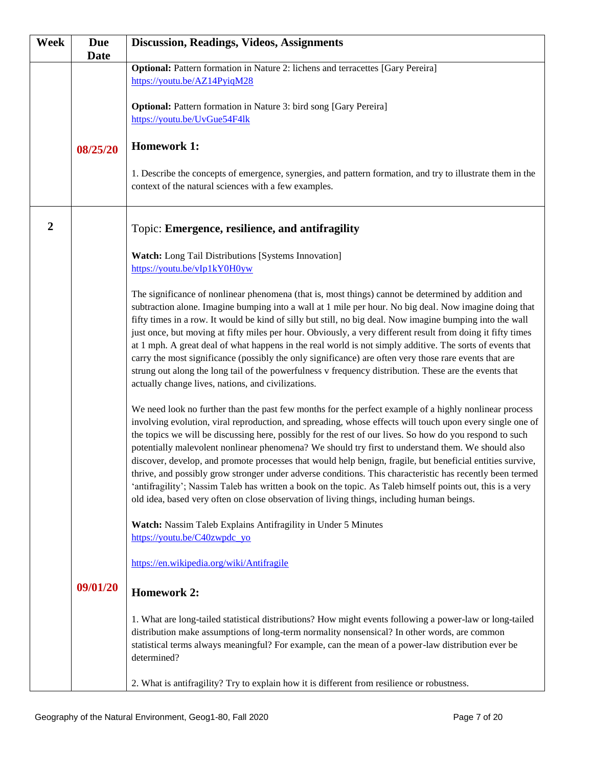| Week           | <b>Due</b>  | <b>Discussion, Readings, Videos, Assignments</b>                                                                                                                                                                    |
|----------------|-------------|---------------------------------------------------------------------------------------------------------------------------------------------------------------------------------------------------------------------|
|                | <b>Date</b> |                                                                                                                                                                                                                     |
|                |             | <b>Optional:</b> Pattern formation in Nature 2: lichens and terracettes [Gary Pereira]                                                                                                                              |
|                |             | https://youtu.be/AZ14PyiqM28                                                                                                                                                                                        |
|                |             |                                                                                                                                                                                                                     |
|                |             | <b>Optional:</b> Pattern formation in Nature 3: bird song [Gary Pereira]<br>https://youtu.be/UvGue54F4lk                                                                                                            |
|                |             |                                                                                                                                                                                                                     |
|                |             | <b>Homework 1:</b>                                                                                                                                                                                                  |
|                | 08/25/20    |                                                                                                                                                                                                                     |
|                |             | 1. Describe the concepts of emergence, synergies, and pattern formation, and try to illustrate them in the                                                                                                          |
|                |             | context of the natural sciences with a few examples.                                                                                                                                                                |
|                |             |                                                                                                                                                                                                                     |
|                |             |                                                                                                                                                                                                                     |
| $\overline{2}$ |             | Topic: Emergence, resilience, and antifragility                                                                                                                                                                     |
|                |             |                                                                                                                                                                                                                     |
|                |             | Watch: Long Tail Distributions [Systems Innovation]                                                                                                                                                                 |
|                |             | https://youtu.be/vIp1kY0H0yw                                                                                                                                                                                        |
|                |             | The significance of nonlinear phenomena (that is, most things) cannot be determined by addition and                                                                                                                 |
|                |             | subtraction alone. Imagine bumping into a wall at 1 mile per hour. No big deal. Now imagine doing that                                                                                                              |
|                |             | fifty times in a row. It would be kind of silly but still, no big deal. Now imagine bumping into the wall                                                                                                           |
|                |             | just once, but moving at fifty miles per hour. Obviously, a very different result from doing it fifty times                                                                                                         |
|                |             | at 1 mph. A great deal of what happens in the real world is not simply additive. The sorts of events that                                                                                                           |
|                |             | carry the most significance (possibly the only significance) are often very those rare events that are                                                                                                              |
|                |             | strung out along the long tail of the powerfulness v frequency distribution. These are the events that                                                                                                              |
|                |             | actually change lives, nations, and civilizations.                                                                                                                                                                  |
|                |             |                                                                                                                                                                                                                     |
|                |             | We need look no further than the past few months for the perfect example of a highly nonlinear process<br>involving evolution, viral reproduction, and spreading, whose effects will touch upon every single one of |
|                |             | the topics we will be discussing here, possibly for the rest of our lives. So how do you respond to such                                                                                                            |
|                |             | potentially malevolent nonlinear phenomena? We should try first to understand them. We should also                                                                                                                  |
|                |             | discover, develop, and promote processes that would help benign, fragile, but beneficial entities survive,                                                                                                          |
|                |             | thrive, and possibly grow stronger under adverse conditions. This characteristic has recently been termed                                                                                                           |
|                |             | 'antifragility'; Nassim Taleb has written a book on the topic. As Taleb himself points out, this is a very                                                                                                          |
|                |             | old idea, based very often on close observation of living things, including human beings.                                                                                                                           |
|                |             |                                                                                                                                                                                                                     |
|                |             | Watch: Nassim Taleb Explains Antifragility in Under 5 Minutes                                                                                                                                                       |
|                |             | https://youtu.be/C40zwpdc yo                                                                                                                                                                                        |
|                |             | https://en.wikipedia.org/wiki/Antifragile                                                                                                                                                                           |
|                |             |                                                                                                                                                                                                                     |
|                | 09/01/20    | <b>Homework 2:</b>                                                                                                                                                                                                  |
|                |             | 1. What are long-tailed statistical distributions? How might events following a power-law or long-tailed                                                                                                            |
|                |             | distribution make assumptions of long-term normality nonsensical? In other words, are common                                                                                                                        |
|                |             | statistical terms always meaningful? For example, can the mean of a power-law distribution ever be                                                                                                                  |
|                |             | determined?                                                                                                                                                                                                         |
|                |             |                                                                                                                                                                                                                     |
|                |             | 2. What is antifragility? Try to explain how it is different from resilience or robustness.                                                                                                                         |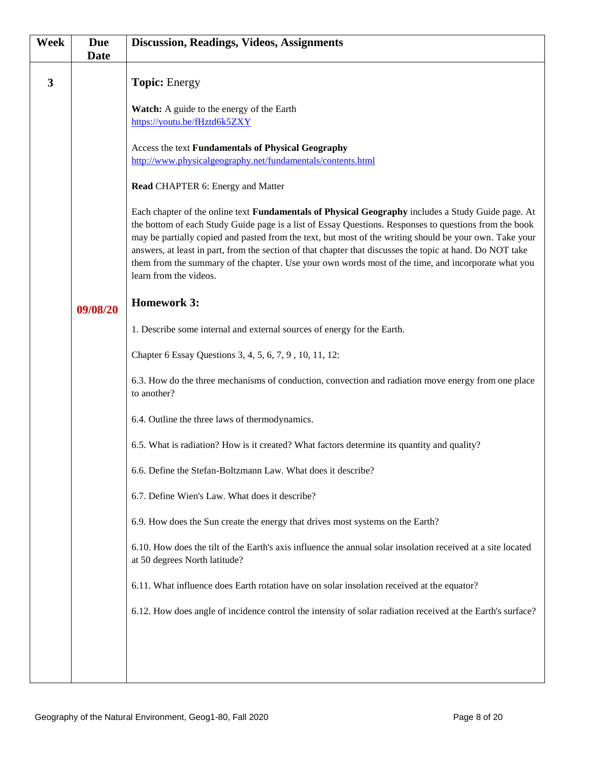| <b>Week</b> | <b>Due</b><br><b>Date</b> | <b>Discussion, Readings, Videos, Assignments</b>                                                                                                                                                                                                                                                                                                                                                                                                                                                                                                                             |
|-------------|---------------------------|------------------------------------------------------------------------------------------------------------------------------------------------------------------------------------------------------------------------------------------------------------------------------------------------------------------------------------------------------------------------------------------------------------------------------------------------------------------------------------------------------------------------------------------------------------------------------|
| 3           |                           | <b>Topic:</b> Energy                                                                                                                                                                                                                                                                                                                                                                                                                                                                                                                                                         |
|             |                           | Watch: A guide to the energy of the Earth<br>https://youtu.be/fHztd6k5ZXY                                                                                                                                                                                                                                                                                                                                                                                                                                                                                                    |
|             |                           | Access the text Fundamentals of Physical Geography<br>http://www.physicalgeography.net/fundamentals/contents.html                                                                                                                                                                                                                                                                                                                                                                                                                                                            |
|             |                           | Read CHAPTER 6: Energy and Matter                                                                                                                                                                                                                                                                                                                                                                                                                                                                                                                                            |
|             |                           | Each chapter of the online text <b>Fundamentals of Physical Geography</b> includes a Study Guide page. At<br>the bottom of each Study Guide page is a list of Essay Questions. Responses to questions from the book<br>may be partially copied and pasted from the text, but most of the writing should be your own. Take your<br>answers, at least in part, from the section of that chapter that discusses the topic at hand. Do NOT take<br>them from the summary of the chapter. Use your own words most of the time, and incorporate what you<br>learn from the videos. |
|             | 09/08/20                  | <b>Homework 3:</b>                                                                                                                                                                                                                                                                                                                                                                                                                                                                                                                                                           |
|             |                           | 1. Describe some internal and external sources of energy for the Earth.                                                                                                                                                                                                                                                                                                                                                                                                                                                                                                      |
|             |                           | Chapter 6 Essay Questions 3, 4, 5, 6, 7, 9, 10, 11, 12:                                                                                                                                                                                                                                                                                                                                                                                                                                                                                                                      |
|             |                           | 6.3. How do the three mechanisms of conduction, convection and radiation move energy from one place<br>to another?                                                                                                                                                                                                                                                                                                                                                                                                                                                           |
|             |                           | 6.4. Outline the three laws of thermodynamics.                                                                                                                                                                                                                                                                                                                                                                                                                                                                                                                               |
|             |                           | 6.5. What is radiation? How is it created? What factors determine its quantity and quality?                                                                                                                                                                                                                                                                                                                                                                                                                                                                                  |
|             |                           | 6.6. Define the Stefan-Boltzmann Law. What does it describe?                                                                                                                                                                                                                                                                                                                                                                                                                                                                                                                 |
|             |                           | 6.7. Define Wien's Law. What does it describe?                                                                                                                                                                                                                                                                                                                                                                                                                                                                                                                               |
|             |                           | 6.9. How does the Sun create the energy that drives most systems on the Earth?                                                                                                                                                                                                                                                                                                                                                                                                                                                                                               |
|             |                           | 6.10. How does the tilt of the Earth's axis influence the annual solar insolation received at a site located<br>at 50 degrees North latitude?                                                                                                                                                                                                                                                                                                                                                                                                                                |
|             |                           | 6.11. What influence does Earth rotation have on solar insolation received at the equator?                                                                                                                                                                                                                                                                                                                                                                                                                                                                                   |
|             |                           | 6.12. How does angle of incidence control the intensity of solar radiation received at the Earth's surface?                                                                                                                                                                                                                                                                                                                                                                                                                                                                  |
|             |                           |                                                                                                                                                                                                                                                                                                                                                                                                                                                                                                                                                                              |
|             |                           |                                                                                                                                                                                                                                                                                                                                                                                                                                                                                                                                                                              |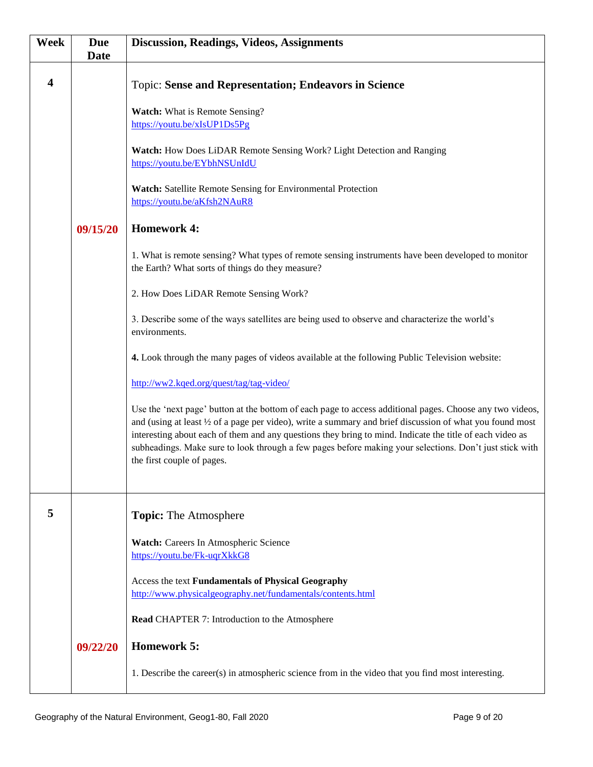| Week                    | <b>Due</b><br><b>Date</b> | <b>Discussion, Readings, Videos, Assignments</b>                                                                                                                                                                                                                                                                                                                                                                                                                                     |
|-------------------------|---------------------------|--------------------------------------------------------------------------------------------------------------------------------------------------------------------------------------------------------------------------------------------------------------------------------------------------------------------------------------------------------------------------------------------------------------------------------------------------------------------------------------|
| $\overline{\mathbf{4}}$ |                           | <b>Topic: Sense and Representation; Endeavors in Science</b>                                                                                                                                                                                                                                                                                                                                                                                                                         |
|                         |                           | Watch: What is Remote Sensing?<br>https://youtu.be/xIsUP1Ds5Pg                                                                                                                                                                                                                                                                                                                                                                                                                       |
|                         |                           | Watch: How Does LiDAR Remote Sensing Work? Light Detection and Ranging<br>https://youtu.be/EYbhNSUnIdU                                                                                                                                                                                                                                                                                                                                                                               |
|                         |                           | Watch: Satellite Remote Sensing for Environmental Protection<br>https://youtu.be/aKfsh2NAuR8                                                                                                                                                                                                                                                                                                                                                                                         |
|                         | 09/15/20                  | <b>Homework 4:</b>                                                                                                                                                                                                                                                                                                                                                                                                                                                                   |
|                         |                           | 1. What is remote sensing? What types of remote sensing instruments have been developed to monitor<br>the Earth? What sorts of things do they measure?                                                                                                                                                                                                                                                                                                                               |
|                         |                           | 2. How Does LiDAR Remote Sensing Work?                                                                                                                                                                                                                                                                                                                                                                                                                                               |
|                         |                           | 3. Describe some of the ways satellites are being used to observe and characterize the world's<br>environments.                                                                                                                                                                                                                                                                                                                                                                      |
|                         |                           | 4. Look through the many pages of videos available at the following Public Television website:                                                                                                                                                                                                                                                                                                                                                                                       |
|                         |                           | http://ww2.kqed.org/quest/tag/tag-video/                                                                                                                                                                                                                                                                                                                                                                                                                                             |
|                         |                           | Use the 'next page' button at the bottom of each page to access additional pages. Choose any two videos,<br>and (using at least $\frac{1}{2}$ of a page per video), write a summary and brief discussion of what you found most<br>interesting about each of them and any questions they bring to mind. Indicate the title of each video as<br>subheadings. Make sure to look through a few pages before making your selections. Don't just stick with<br>the first couple of pages. |
| 5                       |                           | <b>Topic:</b> The Atmosphere                                                                                                                                                                                                                                                                                                                                                                                                                                                         |
|                         |                           | Watch: Careers In Atmospheric Science<br>https://youtu.be/Fk-uqrXkkG8                                                                                                                                                                                                                                                                                                                                                                                                                |
|                         |                           | Access the text Fundamentals of Physical Geography<br>http://www.physicalgeography.net/fundamentals/contents.html                                                                                                                                                                                                                                                                                                                                                                    |
|                         |                           | <b>Read CHAPTER 7: Introduction to the Atmosphere</b>                                                                                                                                                                                                                                                                                                                                                                                                                                |
|                         | 09/22/20                  | <b>Homework 5:</b>                                                                                                                                                                                                                                                                                                                                                                                                                                                                   |
|                         |                           | 1. Describe the career(s) in atmospheric science from in the video that you find most interesting.                                                                                                                                                                                                                                                                                                                                                                                   |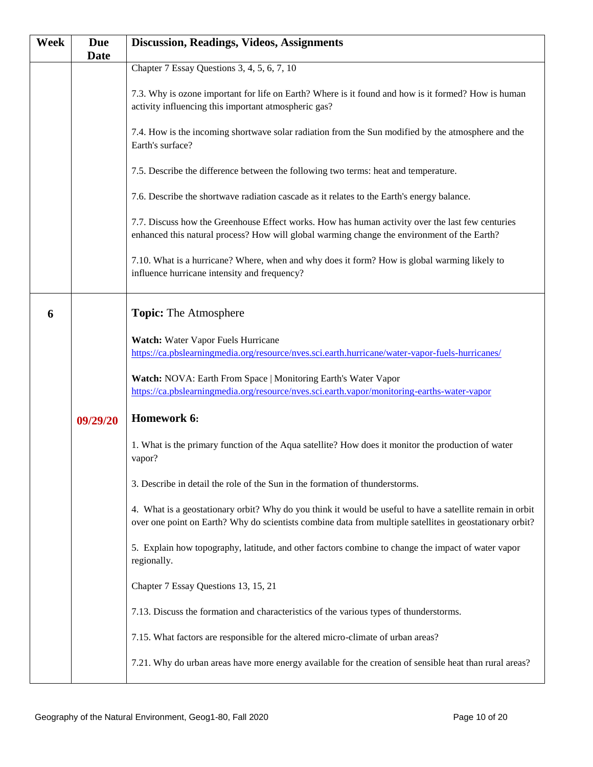| <b>Week</b> | <b>Due</b>  | <b>Discussion, Readings, Videos, Assignments</b>                                                                                                                                                                      |
|-------------|-------------|-----------------------------------------------------------------------------------------------------------------------------------------------------------------------------------------------------------------------|
|             | <b>Date</b> |                                                                                                                                                                                                                       |
|             |             | Chapter 7 Essay Questions 3, 4, 5, 6, 7, 10                                                                                                                                                                           |
|             |             | 7.3. Why is ozone important for life on Earth? Where is it found and how is it formed? How is human<br>activity influencing this important atmospheric gas?                                                           |
|             |             | 7.4. How is the incoming shortwave solar radiation from the Sun modified by the atmosphere and the<br>Earth's surface?                                                                                                |
|             |             | 7.5. Describe the difference between the following two terms: heat and temperature.                                                                                                                                   |
|             |             | 7.6. Describe the shortwave radiation cascade as it relates to the Earth's energy balance.                                                                                                                            |
|             |             | 7.7. Discuss how the Greenhouse Effect works. How has human activity over the last few centuries<br>enhanced this natural process? How will global warming change the environment of the Earth?                       |
|             |             | 7.10. What is a hurricane? Where, when and why does it form? How is global warming likely to<br>influence hurricane intensity and frequency?                                                                          |
| 6           |             | <b>Topic:</b> The Atmosphere                                                                                                                                                                                          |
|             |             |                                                                                                                                                                                                                       |
|             |             | Watch: Water Vapor Fuels Hurricane                                                                                                                                                                                    |
|             |             | https://ca.pbslearningmedia.org/resource/nves.sci.earth.hurricane/water-vapor-fuels-hurricanes/                                                                                                                       |
|             |             | Watch: NOVA: Earth From Space   Monitoring Earth's Water Vapor                                                                                                                                                        |
|             |             | https://ca.pbslearningmedia.org/resource/nves.sci.earth.vapor/monitoring-earths-water-vapor                                                                                                                           |
|             | 09/29/20    | Homework 6:                                                                                                                                                                                                           |
|             |             | 1. What is the primary function of the Aqua satellite? How does it monitor the production of water<br>vapor?                                                                                                          |
|             |             | 3. Describe in detail the role of the Sun in the formation of thunderstorms.                                                                                                                                          |
|             |             | 4. What is a geostationary orbit? Why do you think it would be useful to have a satellite remain in orbit<br>over one point on Earth? Why do scientists combine data from multiple satellites in geostationary orbit? |
|             |             | 5. Explain how topography, latitude, and other factors combine to change the impact of water vapor<br>regionally.                                                                                                     |
|             |             | Chapter 7 Essay Questions 13, 15, 21                                                                                                                                                                                  |
|             |             | 7.13. Discuss the formation and characteristics of the various types of thunderstorms.                                                                                                                                |
|             |             | 7.15. What factors are responsible for the altered micro-climate of urban areas?                                                                                                                                      |
|             |             | 7.21. Why do urban areas have more energy available for the creation of sensible heat than rural areas?                                                                                                               |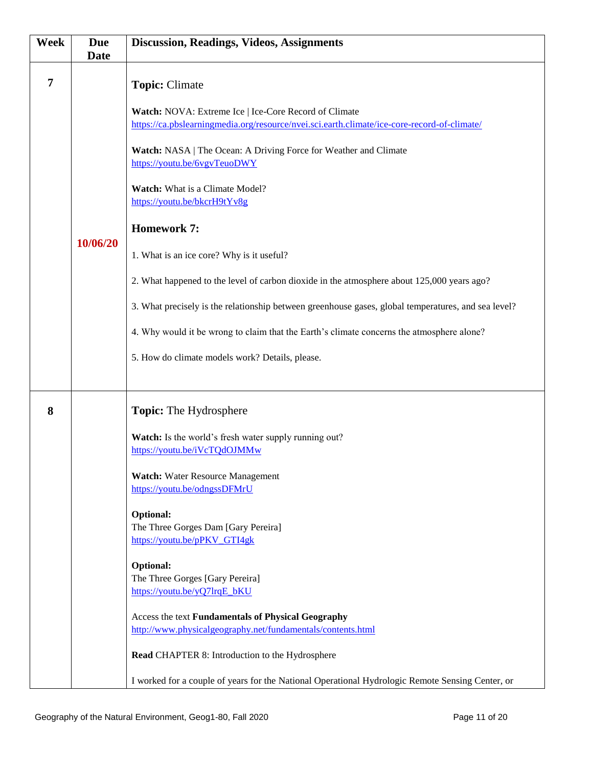| <b>Week</b>    | <b>Due</b><br><b>Date</b> | <b>Discussion, Readings, Videos, Assignments</b>                                                                                                     |
|----------------|---------------------------|------------------------------------------------------------------------------------------------------------------------------------------------------|
| $\overline{7}$ |                           | <b>Topic: Climate</b>                                                                                                                                |
|                |                           | Watch: NOVA: Extreme Ice   Ice-Core Record of Climate<br>https://ca.pbslearningmedia.org/resource/nvei.sci.earth.climate/ice-core-record-of-climate/ |
|                |                           | Watch: NASA   The Ocean: A Driving Force for Weather and Climate<br>https://youtu.be/6vgvTeuoDWY                                                     |
|                |                           | Watch: What is a Climate Model?<br>https://youtu.be/bkcrH9tYv8g                                                                                      |
|                | 10/06/20                  | <b>Homework 7:</b>                                                                                                                                   |
|                |                           | 1. What is an ice core? Why is it useful?                                                                                                            |
|                |                           | 2. What happened to the level of carbon dioxide in the atmosphere about 125,000 years ago?                                                           |
|                |                           | 3. What precisely is the relationship between greenhouse gases, global temperatures, and sea level?                                                  |
|                |                           | 4. Why would it be wrong to claim that the Earth's climate concerns the atmosphere alone?                                                            |
|                |                           | 5. How do climate models work? Details, please.                                                                                                      |
|                |                           |                                                                                                                                                      |
| 8              |                           | <b>Topic:</b> The Hydrosphere                                                                                                                        |
|                |                           | Watch: Is the world's fresh water supply running out?<br>https://youtu.be/iVcTQdOJMMw                                                                |
|                |                           | <b>Watch:</b> Water Resource Management<br>https://youtu.be/odngssDFMrU                                                                              |
|                |                           | <b>Optional:</b><br>The Three Gorges Dam [Gary Pereira]<br>https://youtu.be/pPKV GTI4gk                                                              |
|                |                           | <b>Optional:</b><br>The Three Gorges [Gary Pereira]<br>https://youtu.be/yQ7lrqE_bKU                                                                  |
|                |                           | Access the text Fundamentals of Physical Geography<br>http://www.physicalgeography.net/fundamentals/contents.html                                    |
|                |                           | Read CHAPTER 8: Introduction to the Hydrosphere                                                                                                      |
|                |                           | I worked for a couple of years for the National Operational Hydrologic Remote Sensing Center, or                                                     |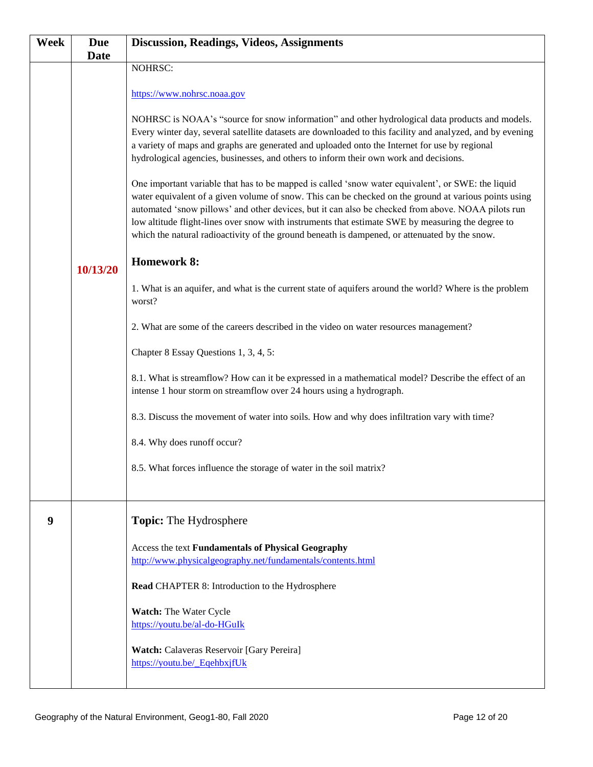| Week | <b>Due</b>  | <b>Discussion, Readings, Videos, Assignments</b>                                                                                                                                                   |
|------|-------------|----------------------------------------------------------------------------------------------------------------------------------------------------------------------------------------------------|
|      | <b>Date</b> |                                                                                                                                                                                                    |
|      |             | NOHRSC:                                                                                                                                                                                            |
|      |             |                                                                                                                                                                                                    |
|      |             | https://www.nohrsc.noaa.gov                                                                                                                                                                        |
|      |             | NOHRSC is NOAA's "source for snow information" and other hydrological data products and models.                                                                                                    |
|      |             | Every winter day, several satellite datasets are downloaded to this facility and analyzed, and by evening                                                                                          |
|      |             | a variety of maps and graphs are generated and uploaded onto the Internet for use by regional                                                                                                      |
|      |             | hydrological agencies, businesses, and others to inform their own work and decisions.                                                                                                              |
|      |             |                                                                                                                                                                                                    |
|      |             | One important variable that has to be mapped is called 'snow water equivalent', or SWE: the liquid                                                                                                 |
|      |             | water equivalent of a given volume of snow. This can be checked on the ground at various points using                                                                                              |
|      |             | automated 'snow pillows' and other devices, but it can also be checked from above. NOAA pilots run                                                                                                 |
|      |             | low altitude flight-lines over snow with instruments that estimate SWE by measuring the degree to<br>which the natural radioactivity of the ground beneath is dampened, or attenuated by the snow. |
|      |             |                                                                                                                                                                                                    |
|      |             | <b>Homework 8:</b>                                                                                                                                                                                 |
|      | 10/13/20    |                                                                                                                                                                                                    |
|      |             | 1. What is an aquifer, and what is the current state of aquifers around the world? Where is the problem                                                                                            |
|      |             | worst?                                                                                                                                                                                             |
|      |             |                                                                                                                                                                                                    |
|      |             | 2. What are some of the careers described in the video on water resources management?                                                                                                              |
|      |             | Chapter 8 Essay Questions 1, 3, 4, 5:                                                                                                                                                              |
|      |             |                                                                                                                                                                                                    |
|      |             | 8.1. What is streamflow? How can it be expressed in a mathematical model? Describe the effect of an                                                                                                |
|      |             | intense 1 hour storm on streamflow over 24 hours using a hydrograph.                                                                                                                               |
|      |             | 8.3. Discuss the movement of water into soils. How and why does infiltration vary with time?                                                                                                       |
|      |             |                                                                                                                                                                                                    |
|      |             | 8.4. Why does runoff occur?                                                                                                                                                                        |
|      |             |                                                                                                                                                                                                    |
|      |             | 8.5. What forces influence the storage of water in the soil matrix?                                                                                                                                |
|      |             |                                                                                                                                                                                                    |
|      |             |                                                                                                                                                                                                    |
| 9    |             | <b>Topic:</b> The Hydrosphere                                                                                                                                                                      |
|      |             |                                                                                                                                                                                                    |
|      |             | Access the text Fundamentals of Physical Geography                                                                                                                                                 |
|      |             | http://www.physicalgeography.net/fundamentals/contents.html                                                                                                                                        |
|      |             | Read CHAPTER 8: Introduction to the Hydrosphere                                                                                                                                                    |
|      |             |                                                                                                                                                                                                    |
|      |             | Watch: The Water Cycle                                                                                                                                                                             |
|      |             | https://youtu.be/al-do-HGuIk                                                                                                                                                                       |
|      |             |                                                                                                                                                                                                    |
|      |             | <b>Watch:</b> Calaveras Reservoir [Gary Pereira]                                                                                                                                                   |
|      |             | https://youtu.be/ EqehbxjfUk                                                                                                                                                                       |
|      |             |                                                                                                                                                                                                    |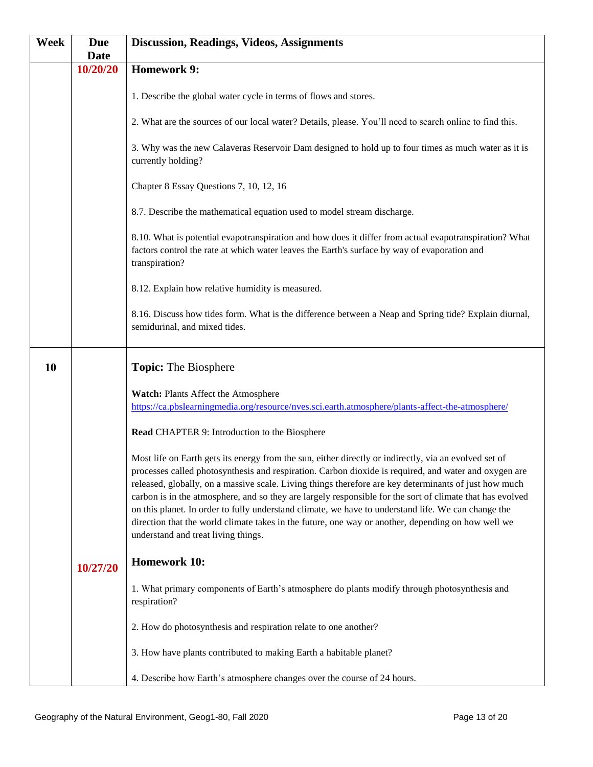| <b>Week</b> | <b>Due</b><br><b>Date</b> | <b>Discussion, Readings, Videos, Assignments</b>                                                                                                                                                                                                                                                                                                                                                                                                                                                                                                                                                                                                                                         |
|-------------|---------------------------|------------------------------------------------------------------------------------------------------------------------------------------------------------------------------------------------------------------------------------------------------------------------------------------------------------------------------------------------------------------------------------------------------------------------------------------------------------------------------------------------------------------------------------------------------------------------------------------------------------------------------------------------------------------------------------------|
|             | 10/20/20                  | <b>Homework 9:</b>                                                                                                                                                                                                                                                                                                                                                                                                                                                                                                                                                                                                                                                                       |
|             |                           | 1. Describe the global water cycle in terms of flows and stores.                                                                                                                                                                                                                                                                                                                                                                                                                                                                                                                                                                                                                         |
|             |                           | 2. What are the sources of our local water? Details, please. You'll need to search online to find this.                                                                                                                                                                                                                                                                                                                                                                                                                                                                                                                                                                                  |
|             |                           | 3. Why was the new Calaveras Reservoir Dam designed to hold up to four times as much water as it is<br>currently holding?                                                                                                                                                                                                                                                                                                                                                                                                                                                                                                                                                                |
|             |                           | Chapter 8 Essay Questions 7, 10, 12, 16                                                                                                                                                                                                                                                                                                                                                                                                                                                                                                                                                                                                                                                  |
|             |                           | 8.7. Describe the mathematical equation used to model stream discharge.                                                                                                                                                                                                                                                                                                                                                                                                                                                                                                                                                                                                                  |
|             |                           | 8.10. What is potential evapotranspiration and how does it differ from actual evapotranspiration? What<br>factors control the rate at which water leaves the Earth's surface by way of evaporation and<br>transpiration?                                                                                                                                                                                                                                                                                                                                                                                                                                                                 |
|             |                           | 8.12. Explain how relative humidity is measured.                                                                                                                                                                                                                                                                                                                                                                                                                                                                                                                                                                                                                                         |
|             |                           | 8.16. Discuss how tides form. What is the difference between a Neap and Spring tide? Explain diurnal,<br>semidurinal, and mixed tides.                                                                                                                                                                                                                                                                                                                                                                                                                                                                                                                                                   |
| 10          |                           | <b>Topic:</b> The Biosphere                                                                                                                                                                                                                                                                                                                                                                                                                                                                                                                                                                                                                                                              |
|             |                           | Watch: Plants Affect the Atmosphere<br>https://ca.pbslearningmedia.org/resource/nves.sci.earth.atmosphere/plants-affect-the-atmosphere/                                                                                                                                                                                                                                                                                                                                                                                                                                                                                                                                                  |
|             |                           | Read CHAPTER 9: Introduction to the Biosphere                                                                                                                                                                                                                                                                                                                                                                                                                                                                                                                                                                                                                                            |
|             |                           | Most life on Earth gets its energy from the sun, either directly or indirectly, via an evolved set of<br>processes called photosynthesis and respiration. Carbon dioxide is required, and water and oxygen are<br>released, globally, on a massive scale. Living things therefore are key determinants of just how much<br>carbon is in the atmosphere, and so they are largely responsible for the sort of climate that has evolved<br>on this planet. In order to fully understand climate, we have to understand life. We can change the<br>direction that the world climate takes in the future, one way or another, depending on how well we<br>understand and treat living things. |
|             | 10/27/20                  | <b>Homework 10:</b>                                                                                                                                                                                                                                                                                                                                                                                                                                                                                                                                                                                                                                                                      |
|             |                           | 1. What primary components of Earth's atmosphere do plants modify through photosynthesis and<br>respiration?                                                                                                                                                                                                                                                                                                                                                                                                                                                                                                                                                                             |
|             |                           | 2. How do photosynthesis and respiration relate to one another?                                                                                                                                                                                                                                                                                                                                                                                                                                                                                                                                                                                                                          |
|             |                           | 3. How have plants contributed to making Earth a habitable planet?                                                                                                                                                                                                                                                                                                                                                                                                                                                                                                                                                                                                                       |
|             |                           | 4. Describe how Earth's atmosphere changes over the course of 24 hours.                                                                                                                                                                                                                                                                                                                                                                                                                                                                                                                                                                                                                  |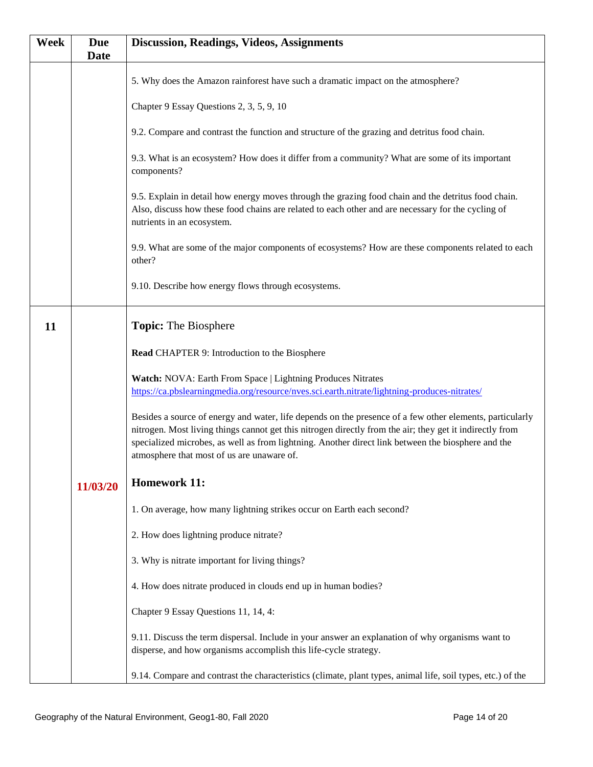| Week | <b>Due</b><br><b>Date</b> | <b>Discussion, Readings, Videos, Assignments</b>                                                                                                                                                                                                                                                                                                                         |
|------|---------------------------|--------------------------------------------------------------------------------------------------------------------------------------------------------------------------------------------------------------------------------------------------------------------------------------------------------------------------------------------------------------------------|
|      |                           | 5. Why does the Amazon rainforest have such a dramatic impact on the atmosphere?                                                                                                                                                                                                                                                                                         |
|      |                           | Chapter 9 Essay Questions 2, 3, 5, 9, 10                                                                                                                                                                                                                                                                                                                                 |
|      |                           | 9.2. Compare and contrast the function and structure of the grazing and detritus food chain.                                                                                                                                                                                                                                                                             |
|      |                           | 9.3. What is an ecosystem? How does it differ from a community? What are some of its important<br>components?                                                                                                                                                                                                                                                            |
|      |                           | 9.5. Explain in detail how energy moves through the grazing food chain and the detritus food chain.<br>Also, discuss how these food chains are related to each other and are necessary for the cycling of<br>nutrients in an ecosystem.                                                                                                                                  |
|      |                           | 9.9. What are some of the major components of ecosystems? How are these components related to each<br>other?                                                                                                                                                                                                                                                             |
|      |                           | 9.10. Describe how energy flows through ecosystems.                                                                                                                                                                                                                                                                                                                      |
| 11   |                           | <b>Topic:</b> The Biosphere                                                                                                                                                                                                                                                                                                                                              |
|      |                           | Read CHAPTER 9: Introduction to the Biosphere                                                                                                                                                                                                                                                                                                                            |
|      |                           | Watch: NOVA: Earth From Space   Lightning Produces Nitrates<br>https://ca.pbslearningmedia.org/resource/nves.sci.earth.nitrate/lightning-produces-nitrates/                                                                                                                                                                                                              |
|      |                           | Besides a source of energy and water, life depends on the presence of a few other elements, particularly<br>nitrogen. Most living things cannot get this nitrogen directly from the air; they get it indirectly from<br>specialized microbes, as well as from lightning. Another direct link between the biosphere and the<br>atmosphere that most of us are unaware of. |
|      | 11/03/20                  | <b>Homework 11:</b>                                                                                                                                                                                                                                                                                                                                                      |
|      |                           | 1. On average, how many lightning strikes occur on Earth each second?                                                                                                                                                                                                                                                                                                    |
|      |                           | 2. How does lightning produce nitrate?                                                                                                                                                                                                                                                                                                                                   |
|      |                           | 3. Why is nitrate important for living things?                                                                                                                                                                                                                                                                                                                           |
|      |                           | 4. How does nitrate produced in clouds end up in human bodies?                                                                                                                                                                                                                                                                                                           |
|      |                           | Chapter 9 Essay Questions 11, 14, 4:                                                                                                                                                                                                                                                                                                                                     |
|      |                           | 9.11. Discuss the term dispersal. Include in your answer an explanation of why organisms want to<br>disperse, and how organisms accomplish this life-cycle strategy.                                                                                                                                                                                                     |
|      |                           | 9.14. Compare and contrast the characteristics (climate, plant types, animal life, soil types, etc.) of the                                                                                                                                                                                                                                                              |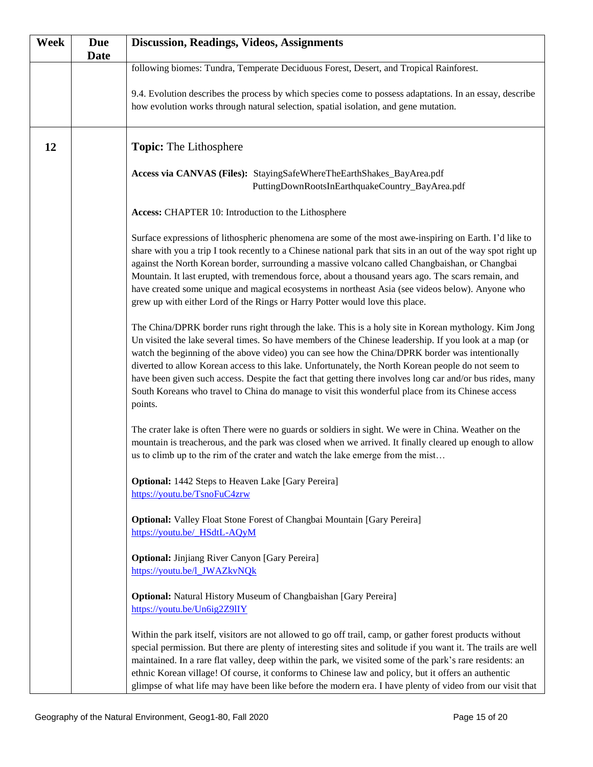| <b>Week</b> | <b>Due</b><br><b>Date</b> | <b>Discussion, Readings, Videos, Assignments</b>                                                                                                                                                                                                                                                                                                                                                                                                                                                                                                                                                                                                      |
|-------------|---------------------------|-------------------------------------------------------------------------------------------------------------------------------------------------------------------------------------------------------------------------------------------------------------------------------------------------------------------------------------------------------------------------------------------------------------------------------------------------------------------------------------------------------------------------------------------------------------------------------------------------------------------------------------------------------|
|             |                           | following biomes: Tundra, Temperate Deciduous Forest, Desert, and Tropical Rainforest.                                                                                                                                                                                                                                                                                                                                                                                                                                                                                                                                                                |
|             |                           | 9.4. Evolution describes the process by which species come to possess adaptations. In an essay, describe<br>how evolution works through natural selection, spatial isolation, and gene mutation.                                                                                                                                                                                                                                                                                                                                                                                                                                                      |
| 12          |                           | <b>Topic:</b> The Lithosphere                                                                                                                                                                                                                                                                                                                                                                                                                                                                                                                                                                                                                         |
|             |                           | Access via CANVAS (Files): StayingSafeWhereTheEarthShakes_BayArea.pdf<br>PuttingDownRootsInEarthquakeCountry_BayArea.pdf                                                                                                                                                                                                                                                                                                                                                                                                                                                                                                                              |
|             |                           | Access: CHAPTER 10: Introduction to the Lithosphere                                                                                                                                                                                                                                                                                                                                                                                                                                                                                                                                                                                                   |
|             |                           | Surface expressions of lithospheric phenomena are some of the most awe-inspiring on Earth. I'd like to<br>share with you a trip I took recently to a Chinese national park that sits in an out of the way spot right up<br>against the North Korean border, surrounding a massive volcano called Changbaishan, or Changbai<br>Mountain. It last erupted, with tremendous force, about a thousand years ago. The scars remain, and<br>have created some unique and magical ecosystems in northeast Asia (see videos below). Anyone who<br>grew up with either Lord of the Rings or Harry Potter would love this place.                                 |
|             |                           | The China/DPRK border runs right through the lake. This is a holy site in Korean mythology. Kim Jong<br>Un visited the lake several times. So have members of the Chinese leadership. If you look at a map (or<br>watch the beginning of the above video) you can see how the China/DPRK border was intentionally<br>diverted to allow Korean access to this lake. Unfortunately, the North Korean people do not seem to<br>have been given such access. Despite the fact that getting there involves long car and/or bus rides, many<br>South Koreans who travel to China do manage to visit this wonderful place from its Chinese access<br>points. |
|             |                           | The crater lake is often There were no guards or soldiers in sight. We were in China. Weather on the<br>mountain is treacherous, and the park was closed when we arrived. It finally cleared up enough to allow<br>us to climb up to the rim of the crater and watch the lake emerge from the mist                                                                                                                                                                                                                                                                                                                                                    |
|             |                           | Optional: 1442 Steps to Heaven Lake [Gary Pereira]<br>https://youtu.be/TsnoFuC4zrw                                                                                                                                                                                                                                                                                                                                                                                                                                                                                                                                                                    |
|             |                           | <b>Optional:</b> Valley Float Stone Forest of Changbai Mountain [Gary Pereira]<br>https://youtu.be/ HSdtL-AQyM                                                                                                                                                                                                                                                                                                                                                                                                                                                                                                                                        |
|             |                           | <b>Optional:</b> Jinjiang River Canyon [Gary Pereira]<br>https://youtu.be/l_JWAZkvNQk                                                                                                                                                                                                                                                                                                                                                                                                                                                                                                                                                                 |
|             |                           | <b>Optional:</b> Natural History Museum of Changbaishan [Gary Pereira]<br>https://youtu.be/Un6ig2Z9lIY                                                                                                                                                                                                                                                                                                                                                                                                                                                                                                                                                |
|             |                           | Within the park itself, visitors are not allowed to go off trail, camp, or gather forest products without<br>special permission. But there are plenty of interesting sites and solitude if you want it. The trails are well<br>maintained. In a rare flat valley, deep within the park, we visited some of the park's rare residents: an<br>ethnic Korean village! Of course, it conforms to Chinese law and policy, but it offers an authentic<br>glimpse of what life may have been like before the modern era. I have plenty of video from our visit that                                                                                          |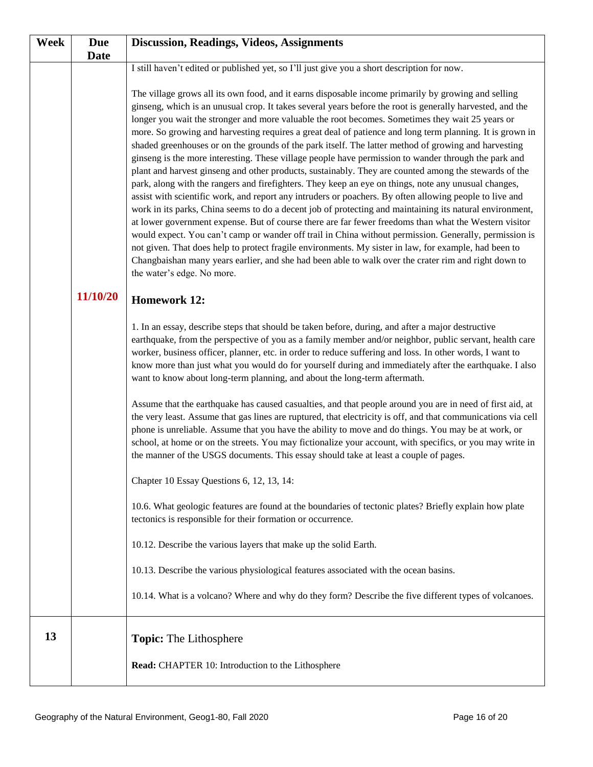| <b>Week</b> | <b>Due</b>  | <b>Discussion, Readings, Videos, Assignments</b>                                                                                                                                                                                                                                                                                                                                                                                                                                                                                                                                                                                                                                                                                                                                                                                                                                                                                                                                                                                                                                                                                                                                                                                                                                                                                                                                                                                                                                                                                                           |
|-------------|-------------|------------------------------------------------------------------------------------------------------------------------------------------------------------------------------------------------------------------------------------------------------------------------------------------------------------------------------------------------------------------------------------------------------------------------------------------------------------------------------------------------------------------------------------------------------------------------------------------------------------------------------------------------------------------------------------------------------------------------------------------------------------------------------------------------------------------------------------------------------------------------------------------------------------------------------------------------------------------------------------------------------------------------------------------------------------------------------------------------------------------------------------------------------------------------------------------------------------------------------------------------------------------------------------------------------------------------------------------------------------------------------------------------------------------------------------------------------------------------------------------------------------------------------------------------------------|
|             | <b>Date</b> |                                                                                                                                                                                                                                                                                                                                                                                                                                                                                                                                                                                                                                                                                                                                                                                                                                                                                                                                                                                                                                                                                                                                                                                                                                                                                                                                                                                                                                                                                                                                                            |
|             |             | I still haven't edited or published yet, so I'll just give you a short description for now.                                                                                                                                                                                                                                                                                                                                                                                                                                                                                                                                                                                                                                                                                                                                                                                                                                                                                                                                                                                                                                                                                                                                                                                                                                                                                                                                                                                                                                                                |
|             |             | The village grows all its own food, and it earns disposable income primarily by growing and selling<br>ginseng, which is an unusual crop. It takes several years before the root is generally harvested, and the<br>longer you wait the stronger and more valuable the root becomes. Sometimes they wait 25 years or<br>more. So growing and harvesting requires a great deal of patience and long term planning. It is grown in<br>shaded greenhouses or on the grounds of the park itself. The latter method of growing and harvesting<br>ginseng is the more interesting. These village people have permission to wander through the park and<br>plant and harvest ginseng and other products, sustainably. They are counted among the stewards of the<br>park, along with the rangers and firefighters. They keep an eye on things, note any unusual changes,<br>assist with scientific work, and report any intruders or poachers. By often allowing people to live and<br>work in its parks, China seems to do a decent job of protecting and maintaining its natural environment,<br>at lower government expense. But of course there are far fewer freedoms than what the Western visitor<br>would expect. You can't camp or wander off trail in China without permission. Generally, permission is<br>not given. That does help to protect fragile environments. My sister in law, for example, had been to<br>Changbaishan many years earlier, and she had been able to walk over the crater rim and right down to<br>the water's edge. No more. |
|             | 11/10/20    | <b>Homework 12:</b>                                                                                                                                                                                                                                                                                                                                                                                                                                                                                                                                                                                                                                                                                                                                                                                                                                                                                                                                                                                                                                                                                                                                                                                                                                                                                                                                                                                                                                                                                                                                        |
|             |             | 1. In an essay, describe steps that should be taken before, during, and after a major destructive<br>earthquake, from the perspective of you as a family member and/or neighbor, public servant, health care<br>worker, business officer, planner, etc. in order to reduce suffering and loss. In other words, I want to<br>know more than just what you would do for yourself during and immediately after the earthquake. I also<br>want to know about long-term planning, and about the long-term aftermath.                                                                                                                                                                                                                                                                                                                                                                                                                                                                                                                                                                                                                                                                                                                                                                                                                                                                                                                                                                                                                                            |
|             |             | Assume that the earthquake has caused casualties, and that people around you are in need of first aid, at<br>the very least. Assume that gas lines are ruptured, that electricity is off, and that communications via cell<br>phone is unreliable. Assume that you have the ability to move and do things. You may be at work, or<br>school, at home or on the streets. You may fictionalize your account, with specifics, or you may write in<br>the manner of the USGS documents. This essay should take at least a couple of pages.                                                                                                                                                                                                                                                                                                                                                                                                                                                                                                                                                                                                                                                                                                                                                                                                                                                                                                                                                                                                                     |
|             |             | Chapter 10 Essay Questions 6, 12, 13, 14:                                                                                                                                                                                                                                                                                                                                                                                                                                                                                                                                                                                                                                                                                                                                                                                                                                                                                                                                                                                                                                                                                                                                                                                                                                                                                                                                                                                                                                                                                                                  |
|             |             | 10.6. What geologic features are found at the boundaries of tectonic plates? Briefly explain how plate<br>tectonics is responsible for their formation or occurrence.                                                                                                                                                                                                                                                                                                                                                                                                                                                                                                                                                                                                                                                                                                                                                                                                                                                                                                                                                                                                                                                                                                                                                                                                                                                                                                                                                                                      |
|             |             | 10.12. Describe the various layers that make up the solid Earth.                                                                                                                                                                                                                                                                                                                                                                                                                                                                                                                                                                                                                                                                                                                                                                                                                                                                                                                                                                                                                                                                                                                                                                                                                                                                                                                                                                                                                                                                                           |
|             |             | 10.13. Describe the various physiological features associated with the ocean basins.                                                                                                                                                                                                                                                                                                                                                                                                                                                                                                                                                                                                                                                                                                                                                                                                                                                                                                                                                                                                                                                                                                                                                                                                                                                                                                                                                                                                                                                                       |
|             |             | 10.14. What is a volcano? Where and why do they form? Describe the five different types of volcanoes.                                                                                                                                                                                                                                                                                                                                                                                                                                                                                                                                                                                                                                                                                                                                                                                                                                                                                                                                                                                                                                                                                                                                                                                                                                                                                                                                                                                                                                                      |
| 13          |             | <b>Topic:</b> The Lithosphere<br>Read: CHAPTER 10: Introduction to the Lithosphere                                                                                                                                                                                                                                                                                                                                                                                                                                                                                                                                                                                                                                                                                                                                                                                                                                                                                                                                                                                                                                                                                                                                                                                                                                                                                                                                                                                                                                                                         |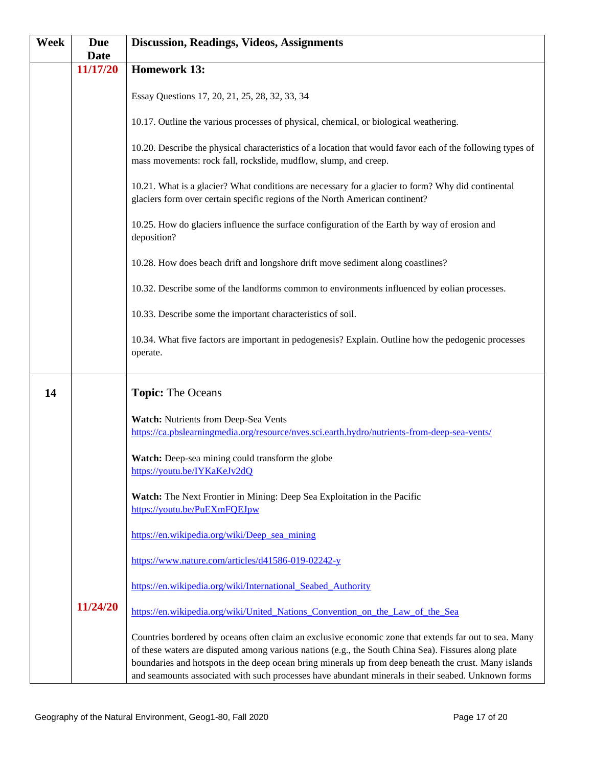| <b>Week</b> | <b>Due</b>  | <b>Discussion, Readings, Videos, Assignments</b>                                                                                                                                                                                                                                                                                                                                                                             |
|-------------|-------------|------------------------------------------------------------------------------------------------------------------------------------------------------------------------------------------------------------------------------------------------------------------------------------------------------------------------------------------------------------------------------------------------------------------------------|
|             | <b>Date</b> |                                                                                                                                                                                                                                                                                                                                                                                                                              |
|             | 11/17/20    | <b>Homework 13:</b>                                                                                                                                                                                                                                                                                                                                                                                                          |
|             |             | Essay Questions 17, 20, 21, 25, 28, 32, 33, 34                                                                                                                                                                                                                                                                                                                                                                               |
|             |             | 10.17. Outline the various processes of physical, chemical, or biological weathering.                                                                                                                                                                                                                                                                                                                                        |
|             |             | 10.20. Describe the physical characteristics of a location that would favor each of the following types of<br>mass movements: rock fall, rockslide, mudflow, slump, and creep.                                                                                                                                                                                                                                               |
|             |             | 10.21. What is a glacier? What conditions are necessary for a glacier to form? Why did continental<br>glaciers form over certain specific regions of the North American continent?                                                                                                                                                                                                                                           |
|             |             | 10.25. How do glaciers influence the surface configuration of the Earth by way of erosion and<br>deposition?                                                                                                                                                                                                                                                                                                                 |
|             |             | 10.28. How does beach drift and longshore drift move sediment along coastlines?                                                                                                                                                                                                                                                                                                                                              |
|             |             | 10.32. Describe some of the landforms common to environments influenced by eolian processes.                                                                                                                                                                                                                                                                                                                                 |
|             |             | 10.33. Describe some the important characteristics of soil.                                                                                                                                                                                                                                                                                                                                                                  |
|             |             | 10.34. What five factors are important in pedogenesis? Explain. Outline how the pedogenic processes<br>operate.                                                                                                                                                                                                                                                                                                              |
| 14          |             | <b>Topic: The Oceans</b>                                                                                                                                                                                                                                                                                                                                                                                                     |
|             |             | Watch: Nutrients from Deep-Sea Vents<br>https://ca.pbslearningmedia.org/resource/nves.sci.earth.hydro/nutrients-from-deep-sea-vents/                                                                                                                                                                                                                                                                                         |
|             |             | Watch: Deep-sea mining could transform the globe<br>https://youtu.be/IYKaKeJv2dQ                                                                                                                                                                                                                                                                                                                                             |
|             |             | Watch: The Next Frontier in Mining: Deep Sea Exploitation in the Pacific<br>https://youtu.be/PuEXmFQEJpw                                                                                                                                                                                                                                                                                                                     |
|             |             | https://en.wikipedia.org/wiki/Deep sea mining                                                                                                                                                                                                                                                                                                                                                                                |
|             |             | https://www.nature.com/articles/d41586-019-02242-y                                                                                                                                                                                                                                                                                                                                                                           |
|             |             | https://en.wikipedia.org/wiki/International_Seabed_Authority                                                                                                                                                                                                                                                                                                                                                                 |
|             | 11/24/20    | https://en.wikipedia.org/wiki/United_Nations_Convention_on_the_Law_of_the_Sea                                                                                                                                                                                                                                                                                                                                                |
|             |             | Countries bordered by oceans often claim an exclusive economic zone that extends far out to sea. Many<br>of these waters are disputed among various nations (e.g., the South China Sea). Fissures along plate<br>boundaries and hotspots in the deep ocean bring minerals up from deep beneath the crust. Many islands<br>and seamounts associated with such processes have abundant minerals in their seabed. Unknown forms |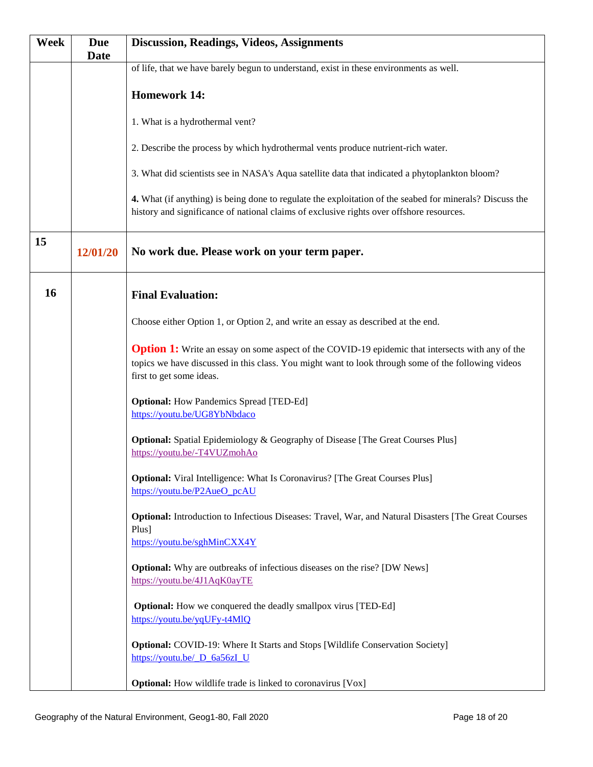| <b>Week</b> | <b>Due</b>  | <b>Discussion, Readings, Videos, Assignments</b>                                                                                                                                                                                           |
|-------------|-------------|--------------------------------------------------------------------------------------------------------------------------------------------------------------------------------------------------------------------------------------------|
|             | <b>Date</b> |                                                                                                                                                                                                                                            |
|             |             | of life, that we have barely begun to understand, exist in these environments as well.                                                                                                                                                     |
|             |             |                                                                                                                                                                                                                                            |
|             |             | <b>Homework 14:</b>                                                                                                                                                                                                                        |
|             |             | 1. What is a hydrothermal vent?                                                                                                                                                                                                            |
|             |             |                                                                                                                                                                                                                                            |
|             |             | 2. Describe the process by which hydrothermal vents produce nutrient-rich water.                                                                                                                                                           |
|             |             | 3. What did scientists see in NASA's Aqua satellite data that indicated a phytoplankton bloom?                                                                                                                                             |
|             |             | 4. What (if anything) is being done to regulate the exploitation of the seabed for minerals? Discuss the<br>history and significance of national claims of exclusive rights over offshore resources.                                       |
| 15          | 12/01/20    | No work due. Please work on your term paper.                                                                                                                                                                                               |
| 16          |             | <b>Final Evaluation:</b>                                                                                                                                                                                                                   |
|             |             | Choose either Option 1, or Option 2, and write an essay as described at the end.                                                                                                                                                           |
|             |             | <b>Option 1:</b> Write an essay on some aspect of the COVID-19 epidemic that intersects with any of the<br>topics we have discussed in this class. You might want to look through some of the following videos<br>first to get some ideas. |
|             |             | <b>Optional:</b> How Pandemics Spread [TED-Ed]<br>https://youtu.be/UG8YbNbdaco                                                                                                                                                             |
|             |             | <b>Optional:</b> Spatial Epidemiology & Geography of Disease [The Great Courses Plus]<br>https://youtu.be/-T4VUZmohAo                                                                                                                      |
|             |             | <b>Optional:</b> Viral Intelligence: What Is Coronavirus? [The Great Courses Plus]<br>https://youtu.be/P2AueO pcAU                                                                                                                         |
|             |             | Optional: Introduction to Infectious Diseases: Travel, War, and Natural Disasters [The Great Courses<br>Plus]                                                                                                                              |
|             |             | https://youtu.be/sghMinCXX4Y                                                                                                                                                                                                               |
|             |             | <b>Optional:</b> Why are outbreaks of infectious diseases on the rise? [DW News]<br>https://youtu.be/4J1AqK0ayTE                                                                                                                           |
|             |             | <b>Optional:</b> How we conquered the deadly smallpox virus [TED-Ed]<br>https://youtu.be/yqUFy-t4MlQ                                                                                                                                       |
|             |             | <b>Optional:</b> COVID-19: Where It Starts and Stops [Wildlife Conservation Society]<br>https://youtu.be/ D_6a56zI_U                                                                                                                       |
|             |             | <b>Optional:</b> How wildlife trade is linked to coronavirus [Vox]                                                                                                                                                                         |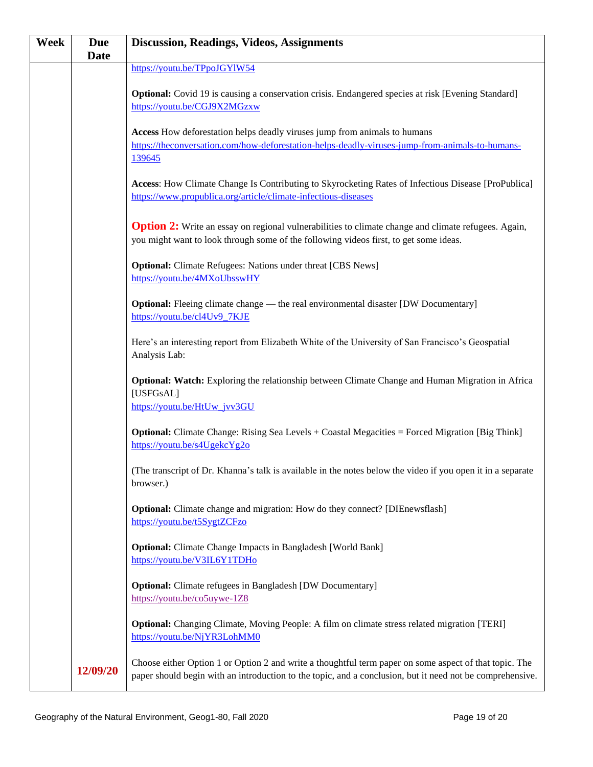| Week | <b>Due</b>  | <b>Discussion, Readings, Videos, Assignments</b>                                                            |
|------|-------------|-------------------------------------------------------------------------------------------------------------|
|      | <b>Date</b> |                                                                                                             |
|      |             | https://youtu.be/TPpoJGYlW54                                                                                |
|      |             | <b>Optional:</b> Covid 19 is causing a conservation crisis. Endangered species at risk [Evening Standard]   |
|      |             | https://youtu.be/CGJ9X2MGzxw                                                                                |
|      |             |                                                                                                             |
|      |             | Access How deforestation helps deadly viruses jump from animals to humans                                   |
|      |             | https://theconversation.com/how-deforestation-helps-deadly-viruses-jump-from-animals-to-humans-             |
|      |             | 139645                                                                                                      |
|      |             |                                                                                                             |
|      |             | Access: How Climate Change Is Contributing to Skyrocketing Rates of Infectious Disease [ProPublica]         |
|      |             | https://www.propublica.org/article/climate-infectious-diseases                                              |
|      |             |                                                                                                             |
|      |             | Option 2: Write an essay on regional vulnerabilities to climate change and climate refugees. Again,         |
|      |             | you might want to look through some of the following videos first, to get some ideas.                       |
|      |             |                                                                                                             |
|      |             | <b>Optional:</b> Climate Refugees: Nations under threat [CBS News]                                          |
|      |             | https://youtu.be/4MXoUbsswHY                                                                                |
|      |             |                                                                                                             |
|      |             | Optional: Fleeing climate change — the real environmental disaster [DW Documentary]                         |
|      |             | https://youtu.be/cl4Uv9_7KJE                                                                                |
|      |             |                                                                                                             |
|      |             | Here's an interesting report from Elizabeth White of the University of San Francisco's Geospatial           |
|      |             | Analysis Lab:                                                                                               |
|      |             | Optional: Watch: Exploring the relationship between Climate Change and Human Migration in Africa            |
|      |             | [USFGsAL]                                                                                                   |
|      |             | https://youtu.be/HtUw jvv3GU                                                                                |
|      |             |                                                                                                             |
|      |             | <b>Optional:</b> Climate Change: Rising Sea Levels + Coastal Megacities = Forced Migration [Big Think]      |
|      |             | https://youtu.be/s4UgekcYg2o                                                                                |
|      |             |                                                                                                             |
|      |             | (The transcript of Dr. Khanna's talk is available in the notes below the video if you open it in a separate |
|      |             | browser.)                                                                                                   |
|      |             |                                                                                                             |
|      |             | <b>Optional:</b> Climate change and migration: How do they connect? [DIEnewsflash]                          |
|      |             | https://youtu.be/t5SygtZCFzo                                                                                |
|      |             |                                                                                                             |
|      |             | <b>Optional:</b> Climate Change Impacts in Bangladesh [World Bank]<br>https://youtu.be/V3IL6Y1TDHo          |
|      |             |                                                                                                             |
|      |             | <b>Optional:</b> Climate refugees in Bangladesh [DW Documentary]                                            |
|      |             | https://youtu.be/co5uywe-1Z8                                                                                |
|      |             |                                                                                                             |
|      |             | <b>Optional:</b> Changing Climate, Moving People: A film on climate stress related migration [TERI]         |
|      |             | https://youtu.be/NjYR3LohMM0                                                                                |
|      |             |                                                                                                             |
|      | 12/09/20    | Choose either Option 1 or Option 2 and write a thoughtful term paper on some aspect of that topic. The      |
|      |             | paper should begin with an introduction to the topic, and a conclusion, but it need not be comprehensive.   |